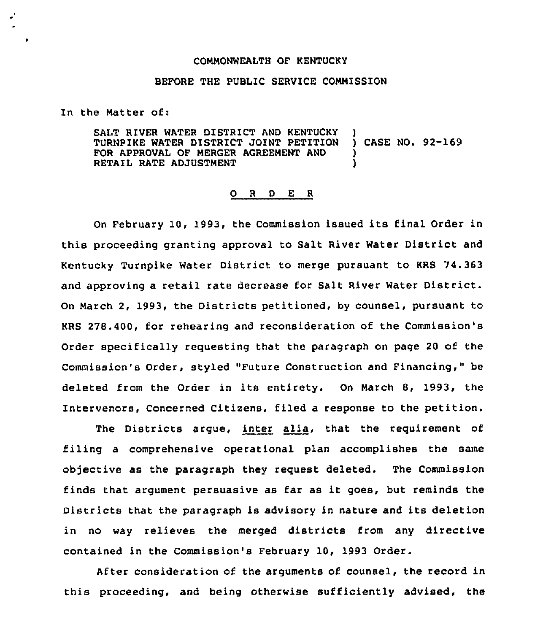## COMMONWEALTH OF KENTUCKY

## BEFORE THE PUBLIC SERVICE COMMISSION

In the Matter Of:

é,

SALT RIVER WATER DISTRICT AND KENTUCKY )<br>TURNPIKE WATER DISTRICT JOINT PETITION ) CASE NO. 92-169 TURNPIKE WATER DISTRICT JOINT PETITION FOR APPROVAL OF MERGER AGREEMENT AND RETAIL RATE ADJUSTMENT

## 0 <sup>R</sup> <sup>D</sup> E <sup>R</sup>

On February 10, 1993, the Commission issued its final Order in this proceeding granting approval to Salt River Water District and Kentucky Turnpike Water District to merge pursuant to KRS 74.363 and approving a retail rate decrease for Salt River Water District. On March 2, 1993, the Districts petitioned, by counsel, pursuant to KRS 278.400, for rehearing and reconsideration of the Commission's Order specifically requesting that the paragraph on page 20 of the Commission's Order, styled "Future Construction and Financing," be deleted from the Order in its entirety. On March 8, 1993, the Intervenors, Concerned Citizens, filed a response to the petition.

The Districts argue, inter alia, that the requirement of filing a comprehensive operational plan accomplishes the same objective as the paragraph they request deleted. The Commission finds that argument persuasive as far as it goes, but reminds the Districts that the paragraph is advisory in nature and its deletion in no way relieves the merged districts from any directive contained in the Commission's February 10, 1993 Order.

After consideration of the arguments of counsel, the record in this proceeding, and being otherwise sufficiently advised, the